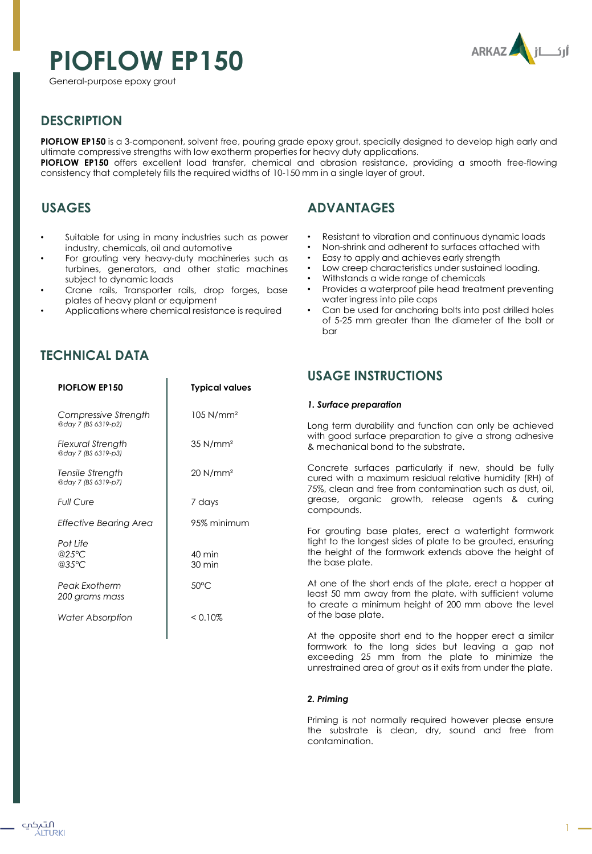# **PIOFLOW EP150**





## **DESCRIPTION**

**PIOFLOW EP150** is a 3-component, solvent free, pouring grade epoxy grout, specially designed to develop high early and ultimate compressive strengths with low exotherm properties for heavy duty applications.

**PIOFLOW EP150** offers excellent load transfer, chemical and abrasion resistance, providing a smooth free-flowing consistency that completely fills the required widths of 10-150 mm in a single layer of grout.

## **USAGES**

- Suitable for using in many industries such as power industry, chemicals, oil and automotive
- For grouting very heavy-duty machineries such as turbines, generators, and other static machines subject to dynamic loads
- Crane rails, Transporter rails, drop forges, base plates of heavy plant or equipment
- Applications where chemical resistance is required

**PIOFLOW EP150 Typical values**

105 N/mm²

35 N/mm²

20 N/mm²

7 days

# **TECHNICAL DATA**

*Compressive Strength @day 7 (BS 6319-p2) Flexural Strength @day 7 (BS 6319-p3) Tensile Strength @day 7 (BS 6319-p7)*

*Full Cure*

# **ADVANTAGES**

- Resistant to vibration and continuous dynamic loads
- Non-shrink and adherent to surfaces attached with
- Easy to apply and achieves early strength
- Low creep characteristics under sustained loading.
- Withstands a wide range of chemicals
- Provides a waterproof pile head treatment preventing water ingress into pile caps
- Can be used for anchoring bolts into post drilled holes of 5-25 mm greater than the diameter of the bolt or bar

## **USAGE INSTRUCTIONS**

## *1. Surface preparation*

Long term durability and function can only be achieved with good surface preparation to give a strong adhesive & mechanical bond to the substrate.

Concrete surfaces particularly if new, should be fully cured with a maximum residual relative humidity (RH) of 75%, clean and free from contamination such as dust, oil, grease, organic growth, release agents & curing compounds.

For grouting base plates, erect a watertight formwork tight to the longest sides of plate to be grouted, ensuring the height of the formwork extends above the height of the base plate.

At one of the short ends of the plate, erect a hopper at least 50 mm away from the plate, with sufficient volume to create a minimum height of 200 mm above the level of the base plate.

At the opposite short end to the hopper erect a similar formwork to the long sides but leaving a gap not exceeding 25 mm from the plate to minimize the unrestrained area of grout as it exits from under the plate.

## *2. Priming*

Priming is not normally required however please ensure the substrate is clean, dry, sound and free from contamination.

| <b>Effective Bearing Area</b>          | 95% minimum                          |
|----------------------------------------|--------------------------------------|
| Pot Life<br>@25 $°C$<br>@35°C          | $40 \text{ min}$<br>$30 \text{ min}$ |
| <b>Peak Exotherm</b><br>200 grams mass | $50^{\circ}$ C                       |
| <b>Water Absorption</b>                | < 0.10%                              |
|                                        |                                      |
|                                        |                                      |
|                                        |                                      |
|                                        |                                      |

1